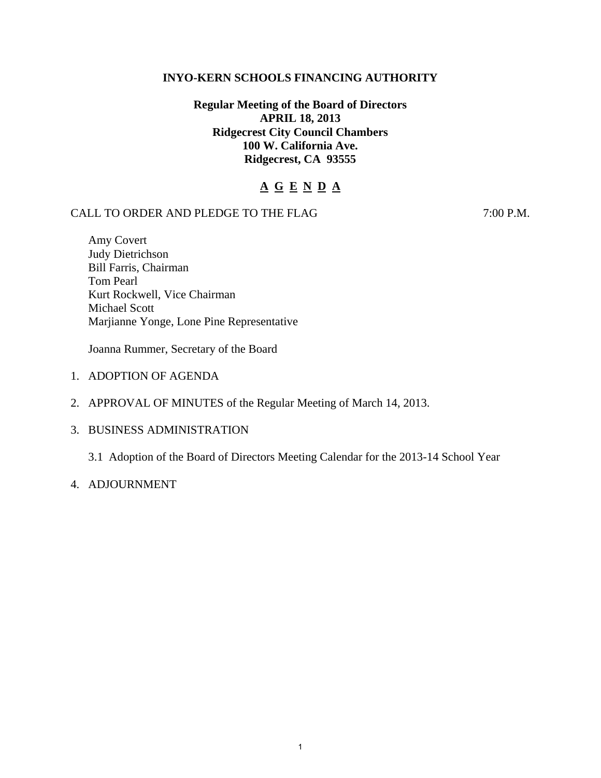## **INYO-KERN SCHOOLS FINANCING AUTHORITY**

# **Regular Meeting of the Board of Directors APRIL 18, 2013 Ridgecrest City Council Chambers 100 W. California Ave. Ridgecrest, CA 93555**

# **A G E N D A**

## CALL TO ORDER AND PLEDGE TO THE FLAG 7:00 P.M.

Amy Covert Judy Dietrichson Bill Farris, Chairman Tom Pearl Kurt Rockwell, Vice Chairman Michael Scott Marjianne Yonge, Lone Pine Representative

Joanna Rummer, Secretary of the Board

- 1. ADOPTION OF AGENDA
- 2. APPROVAL OF MINUTES of the Regular Meeting of March 14, 2013.
- 3. BUSINESS ADMINISTRATION

3.1 Adoption of the Board of Directors Meeting Calendar for the 2013-14 School Year

4. ADJOURNMENT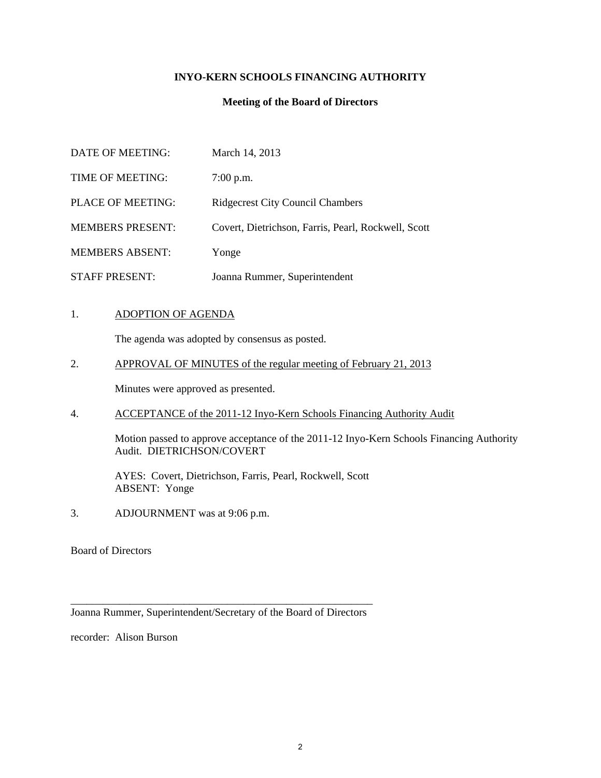### **INYO-KERN SCHOOLS FINANCING AUTHORITY**

#### **Meeting of the Board of Directors**

| DATE OF MEETING:        | March 14, 2013                                      |
|-------------------------|-----------------------------------------------------|
| TIME OF MEETING:        | $7:00$ p.m.                                         |
| PLACE OF MEETING:       | <b>Ridgecrest City Council Chambers</b>             |
| <b>MEMBERS PRESENT:</b> | Covert, Dietrichson, Farris, Pearl, Rockwell, Scott |
| <b>MEMBERS ABSENT:</b>  | Yonge                                               |
| <b>STAFF PRESENT:</b>   | Joanna Rummer, Superintendent                       |

#### 1. ADOPTION OF AGENDA

The agenda was adopted by consensus as posted.

2. APPROVAL OF MINUTES of the regular meeting of February 21, 2013

Minutes were approved as presented.

4. ACCEPTANCE of the 2011-12 Inyo-Kern Schools Financing Authority Audit

 Motion passed to approve acceptance of the 2011-12 Inyo-Kern Schools Financing Authority Audit. DIETRICHSON/COVERT

 AYES: Covert, Dietrichson, Farris, Pearl, Rockwell, Scott ABSENT: Yonge

3. ADJOURNMENT was at 9:06 p.m.

Board of Directors

\_\_\_\_\_\_\_\_\_\_\_\_\_\_\_\_\_\_\_\_\_\_\_\_\_\_\_\_\_\_\_\_\_\_\_\_\_\_\_\_\_\_\_\_\_\_\_\_\_\_\_\_\_\_\_\_ Joanna Rummer, Superintendent/Secretary of the Board of Directors

recorder: Alison Burson